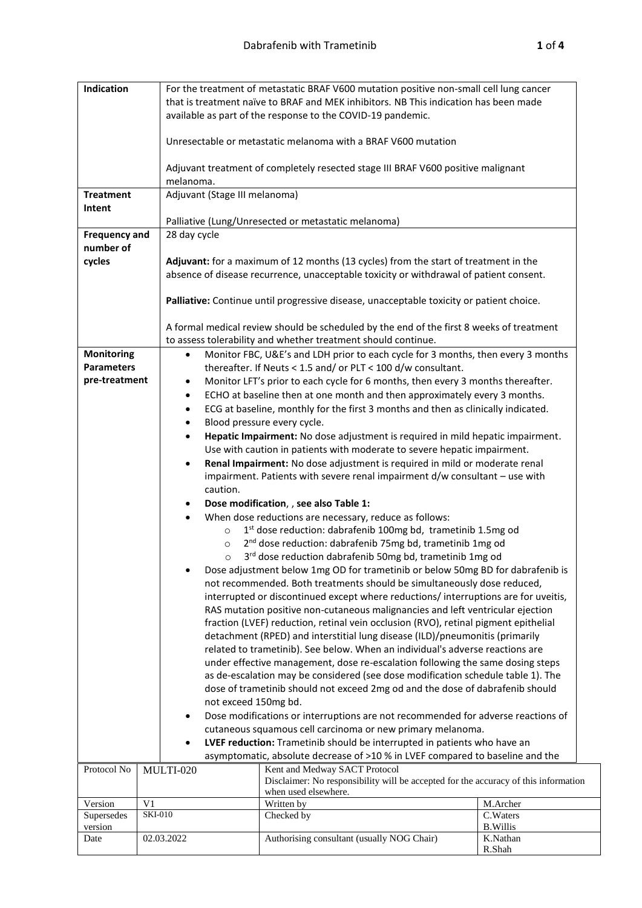| Indication                                                          |                                                               | For the treatment of metastatic BRAF V600 mutation positive non-small cell lung cancer<br>that is treatment naïve to BRAF and MEK inhibitors. NB This indication has been made<br>available as part of the response to the COVID-19 pandemic. |                                                                                                                                                                   |                             |  |  |
|---------------------------------------------------------------------|---------------------------------------------------------------|-----------------------------------------------------------------------------------------------------------------------------------------------------------------------------------------------------------------------------------------------|-------------------------------------------------------------------------------------------------------------------------------------------------------------------|-----------------------------|--|--|
|                                                                     | Unresectable or metastatic melanoma with a BRAF V600 mutation |                                                                                                                                                                                                                                               |                                                                                                                                                                   |                             |  |  |
|                                                                     |                                                               | Adjuvant treatment of completely resected stage III BRAF V600 positive malignant<br>melanoma.                                                                                                                                                 |                                                                                                                                                                   |                             |  |  |
| <b>Treatment</b>                                                    |                                                               | Adjuvant (Stage III melanoma)                                                                                                                                                                                                                 |                                                                                                                                                                   |                             |  |  |
| Intent                                                              |                                                               |                                                                                                                                                                                                                                               |                                                                                                                                                                   |                             |  |  |
|                                                                     |                                                               | Palliative (Lung/Unresected or metastatic melanoma)                                                                                                                                                                                           |                                                                                                                                                                   |                             |  |  |
| <b>Frequency and</b><br>number of                                   |                                                               | 28 day cycle                                                                                                                                                                                                                                  |                                                                                                                                                                   |                             |  |  |
| cycles                                                              |                                                               |                                                                                                                                                                                                                                               | Adjuvant: for a maximum of 12 months (13 cycles) from the start of treatment in the                                                                               |                             |  |  |
|                                                                     |                                                               |                                                                                                                                                                                                                                               | absence of disease recurrence, unacceptable toxicity or withdrawal of patient consent.                                                                            |                             |  |  |
|                                                                     |                                                               |                                                                                                                                                                                                                                               | Palliative: Continue until progressive disease, unacceptable toxicity or patient choice.                                                                          |                             |  |  |
|                                                                     |                                                               |                                                                                                                                                                                                                                               | A formal medical review should be scheduled by the end of the first 8 weeks of treatment<br>to assess tolerability and whether treatment should continue.         |                             |  |  |
| <b>Monitoring</b><br><b>Parameters</b>                              |                                                               | $\bullet$                                                                                                                                                                                                                                     | Monitor FBC, U&E's and LDH prior to each cycle for 3 months, then every 3 months<br>thereafter. If Neuts < 1.5 and/ or PLT < 100 d/w consultant.                  |                             |  |  |
| pre-treatment                                                       |                                                               | $\bullet$                                                                                                                                                                                                                                     | Monitor LFT's prior to each cycle for 6 months, then every 3 months thereafter.                                                                                   |                             |  |  |
|                                                                     |                                                               | $\bullet$                                                                                                                                                                                                                                     | ECHO at baseline then at one month and then approximately every 3 months.                                                                                         |                             |  |  |
|                                                                     |                                                               | $\bullet$                                                                                                                                                                                                                                     | ECG at baseline, monthly for the first 3 months and then as clinically indicated.                                                                                 |                             |  |  |
|                                                                     |                                                               | Blood pressure every cycle.<br>$\bullet$                                                                                                                                                                                                      |                                                                                                                                                                   |                             |  |  |
|                                                                     |                                                               | Hepatic Impairment: No dose adjustment is required in mild hepatic impairment.<br>$\bullet$                                                                                                                                                   |                                                                                                                                                                   |                             |  |  |
|                                                                     |                                                               | Use with caution in patients with moderate to severe hepatic impairment.<br>Renal Impairment: No dose adjustment is required in mild or moderate renal<br>$\bullet$                                                                           |                                                                                                                                                                   |                             |  |  |
|                                                                     |                                                               | impairment. Patients with severe renal impairment $d/w$ consultant $-$ use with                                                                                                                                                               |                                                                                                                                                                   |                             |  |  |
| caution.                                                            |                                                               |                                                                                                                                                                                                                                               |                                                                                                                                                                   |                             |  |  |
| Dose modification, , see also Table 1:                              |                                                               |                                                                                                                                                                                                                                               |                                                                                                                                                                   |                             |  |  |
| When dose reductions are necessary, reduce as follows:<br>$\bullet$ |                                                               |                                                                                                                                                                                                                                               |                                                                                                                                                                   |                             |  |  |
|                                                                     |                                                               | 1st dose reduction: dabrafenib 100mg bd, trametinib 1.5mg od<br>$\circ$                                                                                                                                                                       |                                                                                                                                                                   |                             |  |  |
|                                                                     |                                                               | 2 <sup>nd</sup> dose reduction: dabrafenib 75mg bd, trametinib 1mg od<br>$\circ$                                                                                                                                                              |                                                                                                                                                                   |                             |  |  |
|                                                                     |                                                               | 3 <sup>rd</sup> dose reduction dabrafenib 50mg bd, trametinib 1mg od<br>$\circ$                                                                                                                                                               |                                                                                                                                                                   |                             |  |  |
|                                                                     |                                                               | Dose adjustment below 1mg OD for trametinib or below 50mg BD for dabrafenib is<br>not recommended. Both treatments should be simultaneously dose reduced,                                                                                     |                                                                                                                                                                   |                             |  |  |
|                                                                     |                                                               |                                                                                                                                                                                                                                               | interrupted or discontinued except where reductions/interruptions are for uveitis,                                                                                |                             |  |  |
|                                                                     |                                                               |                                                                                                                                                                                                                                               | RAS mutation positive non-cutaneous malignancies and left ventricular ejection                                                                                    |                             |  |  |
|                                                                     |                                                               |                                                                                                                                                                                                                                               | fraction (LVEF) reduction, retinal vein occlusion (RVO), retinal pigment epithelial                                                                               |                             |  |  |
|                                                                     |                                                               |                                                                                                                                                                                                                                               | detachment (RPED) and interstitial lung disease (ILD)/pneumonitis (primarily                                                                                      |                             |  |  |
|                                                                     |                                                               |                                                                                                                                                                                                                                               | related to trametinib). See below. When an individual's adverse reactions are                                                                                     |                             |  |  |
|                                                                     |                                                               |                                                                                                                                                                                                                                               | under effective management, dose re-escalation following the same dosing steps                                                                                    |                             |  |  |
|                                                                     |                                                               |                                                                                                                                                                                                                                               | as de-escalation may be considered (see dose modification schedule table 1). The<br>dose of trametinib should not exceed 2mg od and the dose of dabrafenib should |                             |  |  |
|                                                                     |                                                               |                                                                                                                                                                                                                                               |                                                                                                                                                                   |                             |  |  |
|                                                                     |                                                               | not exceed 150mg bd.<br>Dose modifications or interruptions are not recommended for adverse reactions of<br>$\bullet$                                                                                                                         |                                                                                                                                                                   |                             |  |  |
|                                                                     |                                                               | cutaneous squamous cell carcinoma or new primary melanoma.                                                                                                                                                                                    |                                                                                                                                                                   |                             |  |  |
|                                                                     |                                                               | LVEF reduction: Trametinib should be interrupted in patients who have an                                                                                                                                                                      |                                                                                                                                                                   |                             |  |  |
|                                                                     |                                                               |                                                                                                                                                                                                                                               | asymptomatic, absolute decrease of >10 % in LVEF compared to baseline and the                                                                                     |                             |  |  |
| Protocol No                                                         |                                                               | MULTI-020                                                                                                                                                                                                                                     | Kent and Medway SACT Protocol<br>Disclaimer: No responsibility will be accepted for the accuracy of this information<br>when used elsewhere.                      |                             |  |  |
| Version                                                             | V <sub>1</sub>                                                |                                                                                                                                                                                                                                               | Written by                                                                                                                                                        | M.Archer                    |  |  |
| Supersedes                                                          | <b>SKI-010</b>                                                |                                                                                                                                                                                                                                               | Checked by                                                                                                                                                        | C.Waters                    |  |  |
| version<br>Date                                                     |                                                               | 02.03.2022                                                                                                                                                                                                                                    | Authorising consultant (usually NOG Chair)                                                                                                                        | <b>B.Willis</b><br>K.Nathan |  |  |
|                                                                     |                                                               |                                                                                                                                                                                                                                               |                                                                                                                                                                   | R.Shah                      |  |  |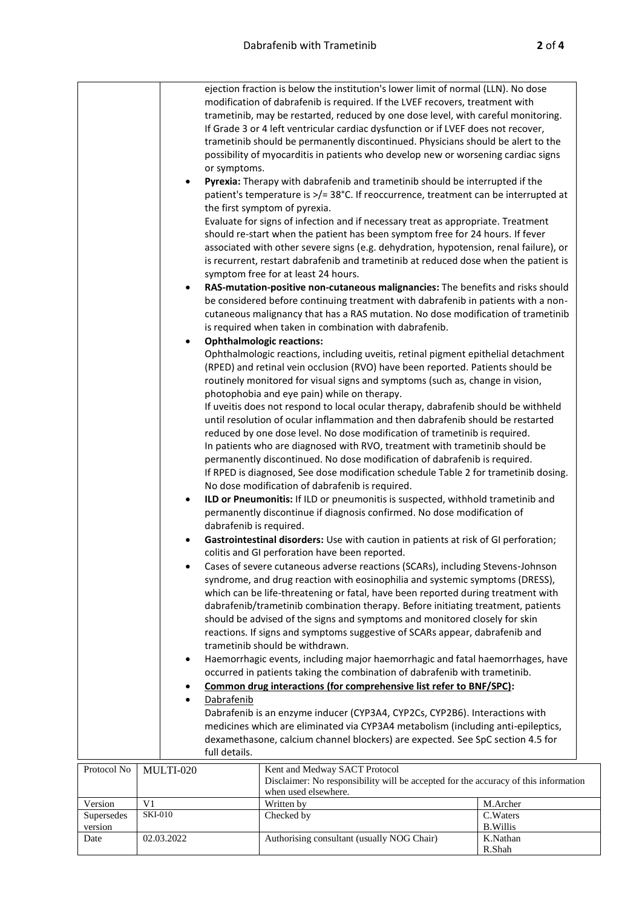| modification of dabrafenib is required. If the LVEF recovers, treatment with<br>trametinib, may be restarted, reduced by one dose level, with careful monitoring.<br>If Grade 3 or 4 left ventricular cardiac dysfunction or if LVEF does not recover,<br>trametinib should be permanently discontinued. Physicians should be alert to the<br>possibility of myocarditis in patients who develop new or worsening cardiac signs<br>or symptoms.<br>Pyrexia: Therapy with dabrafenib and trametinib should be interrupted if the<br>$\bullet$<br>patient's temperature is >/= 38°C. If reoccurrence, treatment can be interrupted at<br>the first symptom of pyrexia.<br>Evaluate for signs of infection and if necessary treat as appropriate. Treatment<br>should re-start when the patient has been symptom free for 24 hours. If fever<br>associated with other severe signs (e.g. dehydration, hypotension, renal failure), or<br>is recurrent, restart dabrafenib and trametinib at reduced dose when the patient is<br>symptom free for at least 24 hours.<br>RAS-mutation-positive non-cutaneous malignancies: The benefits and risks should<br>be considered before continuing treatment with dabrafenib in patients with a non-<br>cutaneous malignancy that has a RAS mutation. No dose modification of trametinib<br>is required when taken in combination with dabrafenib.<br><b>Ophthalmologic reactions:</b><br>Ophthalmologic reactions, including uveitis, retinal pigment epithelial detachment<br>(RPED) and retinal vein occlusion (RVO) have been reported. Patients should be<br>routinely monitored for visual signs and symptoms (such as, change in vision,<br>photophobia and eye pain) while on therapy.<br>If uveitis does not respond to local ocular therapy, dabrafenib should be withheld<br>until resolution of ocular inflammation and then dabrafenib should be restarted<br>reduced by one dose level. No dose modification of trametinib is required.<br>In patients who are diagnosed with RVO, treatment with trametinib should be<br>permanently discontinued. No dose modification of dabrafenib is required.<br>If RPED is diagnosed, See dose modification schedule Table 2 for trametinib dosing.<br>No dose modification of dabrafenib is required.<br>ILD or Pneumonitis: If ILD or pneumonitis is suspected, withhold trametinib and<br>$\bullet$<br>permanently discontinue if diagnosis confirmed. No dose modification of<br>dabrafenib is required.<br>Gastrointestinal disorders: Use with caution in patients at risk of GI perforation;<br>colitis and GI perforation have been reported.<br>Cases of severe cutaneous adverse reactions (SCARs), including Stevens-Johnson<br>syndrome, and drug reaction with eosinophilia and systemic symptoms (DRESS),<br>which can be life-threatening or fatal, have been reported during treatment with<br>dabrafenib/trametinib combination therapy. Before initiating treatment, patients<br>should be advised of the signs and symptoms and monitored closely for skin<br>reactions. If signs and symptoms suggestive of SCARs appear, dabrafenib and<br>trametinib should be withdrawn.<br>Haemorrhagic events, including major haemorrhagic and fatal haemorrhages, have<br>٠<br>occurred in patients taking the combination of dabrafenib with trametinib.<br>Common drug interactions (for comprehensive list refer to BNF/SPC):<br>Dabrafenib<br>Dabrafenib is an enzyme inducer (CYP3A4, CYP2Cs, CYP2B6). Interactions with<br>medicines which are eliminated via CYP3A4 metabolism (including anti-epileptics,<br>dexamethasone, calcium channel blockers) are expected. See SpC section 4.5 for<br>full details.<br>Kent and Medway SACT Protocol<br>Protocol No<br>MULTI-020<br>Disclaimer: No responsibility will be accepted for the accuracy of this information<br>when used elsewhere.<br>V <sub>1</sub><br>Written by<br>Version<br>M.Archer<br>C.Waters<br><b>SKI-010</b><br>Checked by<br>Supersedes<br>version<br><b>B.Willis</b><br>Authorising consultant (usually NOG Chair)<br>K.Nathan<br>02.03.2022<br>Date<br>R.Shah | ejection fraction is below the institution's lower limit of normal (LLN). No dose |  |  |  |  |  |  |
|-----------------------------------------------------------------------------------------------------------------------------------------------------------------------------------------------------------------------------------------------------------------------------------------------------------------------------------------------------------------------------------------------------------------------------------------------------------------------------------------------------------------------------------------------------------------------------------------------------------------------------------------------------------------------------------------------------------------------------------------------------------------------------------------------------------------------------------------------------------------------------------------------------------------------------------------------------------------------------------------------------------------------------------------------------------------------------------------------------------------------------------------------------------------------------------------------------------------------------------------------------------------------------------------------------------------------------------------------------------------------------------------------------------------------------------------------------------------------------------------------------------------------------------------------------------------------------------------------------------------------------------------------------------------------------------------------------------------------------------------------------------------------------------------------------------------------------------------------------------------------------------------------------------------------------------------------------------------------------------------------------------------------------------------------------------------------------------------------------------------------------------------------------------------------------------------------------------------------------------------------------------------------------------------------------------------------------------------------------------------------------------------------------------------------------------------------------------------------------------------------------------------------------------------------------------------------------------------------------------------------------------------------------------------------------------------------------------------------------------------------------------------------------------------------------------------------------------------------------------------------------------------------------------------------------------------------------------------------------------------------------------------------------------------------------------------------------------------------------------------------------------------------------------------------------------------------------------------------------------------------------------------------------------------------------------------------------------------------------------------------------------------------------------------------------------------------------------------------------------------------------------------------------------------------------------------------------------------------------------------------------------------------------------------------------------------------------------------------------------------------------------------------------------------------------------------------------------------------------------------------------------------------------------------------------------------------------------------------------------------------------------------------------------------------------------------------------------------------------------------------------------------------|-----------------------------------------------------------------------------------|--|--|--|--|--|--|
|                                                                                                                                                                                                                                                                                                                                                                                                                                                                                                                                                                                                                                                                                                                                                                                                                                                                                                                                                                                                                                                                                                                                                                                                                                                                                                                                                                                                                                                                                                                                                                                                                                                                                                                                                                                                                                                                                                                                                                                                                                                                                                                                                                                                                                                                                                                                                                                                                                                                                                                                                                                                                                                                                                                                                                                                                                                                                                                                                                                                                                                                                                                                                                                                                                                                                                                                                                                                                                                                                                                                                                                                                                                                                                                                                                                                                                                                                                                                                                                                                                                                                                                                               |                                                                                   |  |  |  |  |  |  |
|                                                                                                                                                                                                                                                                                                                                                                                                                                                                                                                                                                                                                                                                                                                                                                                                                                                                                                                                                                                                                                                                                                                                                                                                                                                                                                                                                                                                                                                                                                                                                                                                                                                                                                                                                                                                                                                                                                                                                                                                                                                                                                                                                                                                                                                                                                                                                                                                                                                                                                                                                                                                                                                                                                                                                                                                                                                                                                                                                                                                                                                                                                                                                                                                                                                                                                                                                                                                                                                                                                                                                                                                                                                                                                                                                                                                                                                                                                                                                                                                                                                                                                                                               |                                                                                   |  |  |  |  |  |  |
|                                                                                                                                                                                                                                                                                                                                                                                                                                                                                                                                                                                                                                                                                                                                                                                                                                                                                                                                                                                                                                                                                                                                                                                                                                                                                                                                                                                                                                                                                                                                                                                                                                                                                                                                                                                                                                                                                                                                                                                                                                                                                                                                                                                                                                                                                                                                                                                                                                                                                                                                                                                                                                                                                                                                                                                                                                                                                                                                                                                                                                                                                                                                                                                                                                                                                                                                                                                                                                                                                                                                                                                                                                                                                                                                                                                                                                                                                                                                                                                                                                                                                                                                               |                                                                                   |  |  |  |  |  |  |
|                                                                                                                                                                                                                                                                                                                                                                                                                                                                                                                                                                                                                                                                                                                                                                                                                                                                                                                                                                                                                                                                                                                                                                                                                                                                                                                                                                                                                                                                                                                                                                                                                                                                                                                                                                                                                                                                                                                                                                                                                                                                                                                                                                                                                                                                                                                                                                                                                                                                                                                                                                                                                                                                                                                                                                                                                                                                                                                                                                                                                                                                                                                                                                                                                                                                                                                                                                                                                                                                                                                                                                                                                                                                                                                                                                                                                                                                                                                                                                                                                                                                                                                                               |                                                                                   |  |  |  |  |  |  |
|                                                                                                                                                                                                                                                                                                                                                                                                                                                                                                                                                                                                                                                                                                                                                                                                                                                                                                                                                                                                                                                                                                                                                                                                                                                                                                                                                                                                                                                                                                                                                                                                                                                                                                                                                                                                                                                                                                                                                                                                                                                                                                                                                                                                                                                                                                                                                                                                                                                                                                                                                                                                                                                                                                                                                                                                                                                                                                                                                                                                                                                                                                                                                                                                                                                                                                                                                                                                                                                                                                                                                                                                                                                                                                                                                                                                                                                                                                                                                                                                                                                                                                                                               |                                                                                   |  |  |  |  |  |  |
|                                                                                                                                                                                                                                                                                                                                                                                                                                                                                                                                                                                                                                                                                                                                                                                                                                                                                                                                                                                                                                                                                                                                                                                                                                                                                                                                                                                                                                                                                                                                                                                                                                                                                                                                                                                                                                                                                                                                                                                                                                                                                                                                                                                                                                                                                                                                                                                                                                                                                                                                                                                                                                                                                                                                                                                                                                                                                                                                                                                                                                                                                                                                                                                                                                                                                                                                                                                                                                                                                                                                                                                                                                                                                                                                                                                                                                                                                                                                                                                                                                                                                                                                               |                                                                                   |  |  |  |  |  |  |
|                                                                                                                                                                                                                                                                                                                                                                                                                                                                                                                                                                                                                                                                                                                                                                                                                                                                                                                                                                                                                                                                                                                                                                                                                                                                                                                                                                                                                                                                                                                                                                                                                                                                                                                                                                                                                                                                                                                                                                                                                                                                                                                                                                                                                                                                                                                                                                                                                                                                                                                                                                                                                                                                                                                                                                                                                                                                                                                                                                                                                                                                                                                                                                                                                                                                                                                                                                                                                                                                                                                                                                                                                                                                                                                                                                                                                                                                                                                                                                                                                                                                                                                                               |                                                                                   |  |  |  |  |  |  |
|                                                                                                                                                                                                                                                                                                                                                                                                                                                                                                                                                                                                                                                                                                                                                                                                                                                                                                                                                                                                                                                                                                                                                                                                                                                                                                                                                                                                                                                                                                                                                                                                                                                                                                                                                                                                                                                                                                                                                                                                                                                                                                                                                                                                                                                                                                                                                                                                                                                                                                                                                                                                                                                                                                                                                                                                                                                                                                                                                                                                                                                                                                                                                                                                                                                                                                                                                                                                                                                                                                                                                                                                                                                                                                                                                                                                                                                                                                                                                                                                                                                                                                                                               |                                                                                   |  |  |  |  |  |  |
|                                                                                                                                                                                                                                                                                                                                                                                                                                                                                                                                                                                                                                                                                                                                                                                                                                                                                                                                                                                                                                                                                                                                                                                                                                                                                                                                                                                                                                                                                                                                                                                                                                                                                                                                                                                                                                                                                                                                                                                                                                                                                                                                                                                                                                                                                                                                                                                                                                                                                                                                                                                                                                                                                                                                                                                                                                                                                                                                                                                                                                                                                                                                                                                                                                                                                                                                                                                                                                                                                                                                                                                                                                                                                                                                                                                                                                                                                                                                                                                                                                                                                                                                               |                                                                                   |  |  |  |  |  |  |
|                                                                                                                                                                                                                                                                                                                                                                                                                                                                                                                                                                                                                                                                                                                                                                                                                                                                                                                                                                                                                                                                                                                                                                                                                                                                                                                                                                                                                                                                                                                                                                                                                                                                                                                                                                                                                                                                                                                                                                                                                                                                                                                                                                                                                                                                                                                                                                                                                                                                                                                                                                                                                                                                                                                                                                                                                                                                                                                                                                                                                                                                                                                                                                                                                                                                                                                                                                                                                                                                                                                                                                                                                                                                                                                                                                                                                                                                                                                                                                                                                                                                                                                                               |                                                                                   |  |  |  |  |  |  |
|                                                                                                                                                                                                                                                                                                                                                                                                                                                                                                                                                                                                                                                                                                                                                                                                                                                                                                                                                                                                                                                                                                                                                                                                                                                                                                                                                                                                                                                                                                                                                                                                                                                                                                                                                                                                                                                                                                                                                                                                                                                                                                                                                                                                                                                                                                                                                                                                                                                                                                                                                                                                                                                                                                                                                                                                                                                                                                                                                                                                                                                                                                                                                                                                                                                                                                                                                                                                                                                                                                                                                                                                                                                                                                                                                                                                                                                                                                                                                                                                                                                                                                                                               |                                                                                   |  |  |  |  |  |  |
|                                                                                                                                                                                                                                                                                                                                                                                                                                                                                                                                                                                                                                                                                                                                                                                                                                                                                                                                                                                                                                                                                                                                                                                                                                                                                                                                                                                                                                                                                                                                                                                                                                                                                                                                                                                                                                                                                                                                                                                                                                                                                                                                                                                                                                                                                                                                                                                                                                                                                                                                                                                                                                                                                                                                                                                                                                                                                                                                                                                                                                                                                                                                                                                                                                                                                                                                                                                                                                                                                                                                                                                                                                                                                                                                                                                                                                                                                                                                                                                                                                                                                                                                               |                                                                                   |  |  |  |  |  |  |
|                                                                                                                                                                                                                                                                                                                                                                                                                                                                                                                                                                                                                                                                                                                                                                                                                                                                                                                                                                                                                                                                                                                                                                                                                                                                                                                                                                                                                                                                                                                                                                                                                                                                                                                                                                                                                                                                                                                                                                                                                                                                                                                                                                                                                                                                                                                                                                                                                                                                                                                                                                                                                                                                                                                                                                                                                                                                                                                                                                                                                                                                                                                                                                                                                                                                                                                                                                                                                                                                                                                                                                                                                                                                                                                                                                                                                                                                                                                                                                                                                                                                                                                                               |                                                                                   |  |  |  |  |  |  |
|                                                                                                                                                                                                                                                                                                                                                                                                                                                                                                                                                                                                                                                                                                                                                                                                                                                                                                                                                                                                                                                                                                                                                                                                                                                                                                                                                                                                                                                                                                                                                                                                                                                                                                                                                                                                                                                                                                                                                                                                                                                                                                                                                                                                                                                                                                                                                                                                                                                                                                                                                                                                                                                                                                                                                                                                                                                                                                                                                                                                                                                                                                                                                                                                                                                                                                                                                                                                                                                                                                                                                                                                                                                                                                                                                                                                                                                                                                                                                                                                                                                                                                                                               |                                                                                   |  |  |  |  |  |  |
|                                                                                                                                                                                                                                                                                                                                                                                                                                                                                                                                                                                                                                                                                                                                                                                                                                                                                                                                                                                                                                                                                                                                                                                                                                                                                                                                                                                                                                                                                                                                                                                                                                                                                                                                                                                                                                                                                                                                                                                                                                                                                                                                                                                                                                                                                                                                                                                                                                                                                                                                                                                                                                                                                                                                                                                                                                                                                                                                                                                                                                                                                                                                                                                                                                                                                                                                                                                                                                                                                                                                                                                                                                                                                                                                                                                                                                                                                                                                                                                                                                                                                                                                               |                                                                                   |  |  |  |  |  |  |
|                                                                                                                                                                                                                                                                                                                                                                                                                                                                                                                                                                                                                                                                                                                                                                                                                                                                                                                                                                                                                                                                                                                                                                                                                                                                                                                                                                                                                                                                                                                                                                                                                                                                                                                                                                                                                                                                                                                                                                                                                                                                                                                                                                                                                                                                                                                                                                                                                                                                                                                                                                                                                                                                                                                                                                                                                                                                                                                                                                                                                                                                                                                                                                                                                                                                                                                                                                                                                                                                                                                                                                                                                                                                                                                                                                                                                                                                                                                                                                                                                                                                                                                                               |                                                                                   |  |  |  |  |  |  |
|                                                                                                                                                                                                                                                                                                                                                                                                                                                                                                                                                                                                                                                                                                                                                                                                                                                                                                                                                                                                                                                                                                                                                                                                                                                                                                                                                                                                                                                                                                                                                                                                                                                                                                                                                                                                                                                                                                                                                                                                                                                                                                                                                                                                                                                                                                                                                                                                                                                                                                                                                                                                                                                                                                                                                                                                                                                                                                                                                                                                                                                                                                                                                                                                                                                                                                                                                                                                                                                                                                                                                                                                                                                                                                                                                                                                                                                                                                                                                                                                                                                                                                                                               |                                                                                   |  |  |  |  |  |  |
|                                                                                                                                                                                                                                                                                                                                                                                                                                                                                                                                                                                                                                                                                                                                                                                                                                                                                                                                                                                                                                                                                                                                                                                                                                                                                                                                                                                                                                                                                                                                                                                                                                                                                                                                                                                                                                                                                                                                                                                                                                                                                                                                                                                                                                                                                                                                                                                                                                                                                                                                                                                                                                                                                                                                                                                                                                                                                                                                                                                                                                                                                                                                                                                                                                                                                                                                                                                                                                                                                                                                                                                                                                                                                                                                                                                                                                                                                                                                                                                                                                                                                                                                               |                                                                                   |  |  |  |  |  |  |
|                                                                                                                                                                                                                                                                                                                                                                                                                                                                                                                                                                                                                                                                                                                                                                                                                                                                                                                                                                                                                                                                                                                                                                                                                                                                                                                                                                                                                                                                                                                                                                                                                                                                                                                                                                                                                                                                                                                                                                                                                                                                                                                                                                                                                                                                                                                                                                                                                                                                                                                                                                                                                                                                                                                                                                                                                                                                                                                                                                                                                                                                                                                                                                                                                                                                                                                                                                                                                                                                                                                                                                                                                                                                                                                                                                                                                                                                                                                                                                                                                                                                                                                                               |                                                                                   |  |  |  |  |  |  |
|                                                                                                                                                                                                                                                                                                                                                                                                                                                                                                                                                                                                                                                                                                                                                                                                                                                                                                                                                                                                                                                                                                                                                                                                                                                                                                                                                                                                                                                                                                                                                                                                                                                                                                                                                                                                                                                                                                                                                                                                                                                                                                                                                                                                                                                                                                                                                                                                                                                                                                                                                                                                                                                                                                                                                                                                                                                                                                                                                                                                                                                                                                                                                                                                                                                                                                                                                                                                                                                                                                                                                                                                                                                                                                                                                                                                                                                                                                                                                                                                                                                                                                                                               |                                                                                   |  |  |  |  |  |  |
|                                                                                                                                                                                                                                                                                                                                                                                                                                                                                                                                                                                                                                                                                                                                                                                                                                                                                                                                                                                                                                                                                                                                                                                                                                                                                                                                                                                                                                                                                                                                                                                                                                                                                                                                                                                                                                                                                                                                                                                                                                                                                                                                                                                                                                                                                                                                                                                                                                                                                                                                                                                                                                                                                                                                                                                                                                                                                                                                                                                                                                                                                                                                                                                                                                                                                                                                                                                                                                                                                                                                                                                                                                                                                                                                                                                                                                                                                                                                                                                                                                                                                                                                               |                                                                                   |  |  |  |  |  |  |
|                                                                                                                                                                                                                                                                                                                                                                                                                                                                                                                                                                                                                                                                                                                                                                                                                                                                                                                                                                                                                                                                                                                                                                                                                                                                                                                                                                                                                                                                                                                                                                                                                                                                                                                                                                                                                                                                                                                                                                                                                                                                                                                                                                                                                                                                                                                                                                                                                                                                                                                                                                                                                                                                                                                                                                                                                                                                                                                                                                                                                                                                                                                                                                                                                                                                                                                                                                                                                                                                                                                                                                                                                                                                                                                                                                                                                                                                                                                                                                                                                                                                                                                                               |                                                                                   |  |  |  |  |  |  |
|                                                                                                                                                                                                                                                                                                                                                                                                                                                                                                                                                                                                                                                                                                                                                                                                                                                                                                                                                                                                                                                                                                                                                                                                                                                                                                                                                                                                                                                                                                                                                                                                                                                                                                                                                                                                                                                                                                                                                                                                                                                                                                                                                                                                                                                                                                                                                                                                                                                                                                                                                                                                                                                                                                                                                                                                                                                                                                                                                                                                                                                                                                                                                                                                                                                                                                                                                                                                                                                                                                                                                                                                                                                                                                                                                                                                                                                                                                                                                                                                                                                                                                                                               |                                                                                   |  |  |  |  |  |  |
|                                                                                                                                                                                                                                                                                                                                                                                                                                                                                                                                                                                                                                                                                                                                                                                                                                                                                                                                                                                                                                                                                                                                                                                                                                                                                                                                                                                                                                                                                                                                                                                                                                                                                                                                                                                                                                                                                                                                                                                                                                                                                                                                                                                                                                                                                                                                                                                                                                                                                                                                                                                                                                                                                                                                                                                                                                                                                                                                                                                                                                                                                                                                                                                                                                                                                                                                                                                                                                                                                                                                                                                                                                                                                                                                                                                                                                                                                                                                                                                                                                                                                                                                               |                                                                                   |  |  |  |  |  |  |
|                                                                                                                                                                                                                                                                                                                                                                                                                                                                                                                                                                                                                                                                                                                                                                                                                                                                                                                                                                                                                                                                                                                                                                                                                                                                                                                                                                                                                                                                                                                                                                                                                                                                                                                                                                                                                                                                                                                                                                                                                                                                                                                                                                                                                                                                                                                                                                                                                                                                                                                                                                                                                                                                                                                                                                                                                                                                                                                                                                                                                                                                                                                                                                                                                                                                                                                                                                                                                                                                                                                                                                                                                                                                                                                                                                                                                                                                                                                                                                                                                                                                                                                                               |                                                                                   |  |  |  |  |  |  |
|                                                                                                                                                                                                                                                                                                                                                                                                                                                                                                                                                                                                                                                                                                                                                                                                                                                                                                                                                                                                                                                                                                                                                                                                                                                                                                                                                                                                                                                                                                                                                                                                                                                                                                                                                                                                                                                                                                                                                                                                                                                                                                                                                                                                                                                                                                                                                                                                                                                                                                                                                                                                                                                                                                                                                                                                                                                                                                                                                                                                                                                                                                                                                                                                                                                                                                                                                                                                                                                                                                                                                                                                                                                                                                                                                                                                                                                                                                                                                                                                                                                                                                                                               |                                                                                   |  |  |  |  |  |  |
|                                                                                                                                                                                                                                                                                                                                                                                                                                                                                                                                                                                                                                                                                                                                                                                                                                                                                                                                                                                                                                                                                                                                                                                                                                                                                                                                                                                                                                                                                                                                                                                                                                                                                                                                                                                                                                                                                                                                                                                                                                                                                                                                                                                                                                                                                                                                                                                                                                                                                                                                                                                                                                                                                                                                                                                                                                                                                                                                                                                                                                                                                                                                                                                                                                                                                                                                                                                                                                                                                                                                                                                                                                                                                                                                                                                                                                                                                                                                                                                                                                                                                                                                               |                                                                                   |  |  |  |  |  |  |
|                                                                                                                                                                                                                                                                                                                                                                                                                                                                                                                                                                                                                                                                                                                                                                                                                                                                                                                                                                                                                                                                                                                                                                                                                                                                                                                                                                                                                                                                                                                                                                                                                                                                                                                                                                                                                                                                                                                                                                                                                                                                                                                                                                                                                                                                                                                                                                                                                                                                                                                                                                                                                                                                                                                                                                                                                                                                                                                                                                                                                                                                                                                                                                                                                                                                                                                                                                                                                                                                                                                                                                                                                                                                                                                                                                                                                                                                                                                                                                                                                                                                                                                                               |                                                                                   |  |  |  |  |  |  |
|                                                                                                                                                                                                                                                                                                                                                                                                                                                                                                                                                                                                                                                                                                                                                                                                                                                                                                                                                                                                                                                                                                                                                                                                                                                                                                                                                                                                                                                                                                                                                                                                                                                                                                                                                                                                                                                                                                                                                                                                                                                                                                                                                                                                                                                                                                                                                                                                                                                                                                                                                                                                                                                                                                                                                                                                                                                                                                                                                                                                                                                                                                                                                                                                                                                                                                                                                                                                                                                                                                                                                                                                                                                                                                                                                                                                                                                                                                                                                                                                                                                                                                                                               |                                                                                   |  |  |  |  |  |  |
|                                                                                                                                                                                                                                                                                                                                                                                                                                                                                                                                                                                                                                                                                                                                                                                                                                                                                                                                                                                                                                                                                                                                                                                                                                                                                                                                                                                                                                                                                                                                                                                                                                                                                                                                                                                                                                                                                                                                                                                                                                                                                                                                                                                                                                                                                                                                                                                                                                                                                                                                                                                                                                                                                                                                                                                                                                                                                                                                                                                                                                                                                                                                                                                                                                                                                                                                                                                                                                                                                                                                                                                                                                                                                                                                                                                                                                                                                                                                                                                                                                                                                                                                               |                                                                                   |  |  |  |  |  |  |
|                                                                                                                                                                                                                                                                                                                                                                                                                                                                                                                                                                                                                                                                                                                                                                                                                                                                                                                                                                                                                                                                                                                                                                                                                                                                                                                                                                                                                                                                                                                                                                                                                                                                                                                                                                                                                                                                                                                                                                                                                                                                                                                                                                                                                                                                                                                                                                                                                                                                                                                                                                                                                                                                                                                                                                                                                                                                                                                                                                                                                                                                                                                                                                                                                                                                                                                                                                                                                                                                                                                                                                                                                                                                                                                                                                                                                                                                                                                                                                                                                                                                                                                                               |                                                                                   |  |  |  |  |  |  |
|                                                                                                                                                                                                                                                                                                                                                                                                                                                                                                                                                                                                                                                                                                                                                                                                                                                                                                                                                                                                                                                                                                                                                                                                                                                                                                                                                                                                                                                                                                                                                                                                                                                                                                                                                                                                                                                                                                                                                                                                                                                                                                                                                                                                                                                                                                                                                                                                                                                                                                                                                                                                                                                                                                                                                                                                                                                                                                                                                                                                                                                                                                                                                                                                                                                                                                                                                                                                                                                                                                                                                                                                                                                                                                                                                                                                                                                                                                                                                                                                                                                                                                                                               |                                                                                   |  |  |  |  |  |  |
|                                                                                                                                                                                                                                                                                                                                                                                                                                                                                                                                                                                                                                                                                                                                                                                                                                                                                                                                                                                                                                                                                                                                                                                                                                                                                                                                                                                                                                                                                                                                                                                                                                                                                                                                                                                                                                                                                                                                                                                                                                                                                                                                                                                                                                                                                                                                                                                                                                                                                                                                                                                                                                                                                                                                                                                                                                                                                                                                                                                                                                                                                                                                                                                                                                                                                                                                                                                                                                                                                                                                                                                                                                                                                                                                                                                                                                                                                                                                                                                                                                                                                                                                               |                                                                                   |  |  |  |  |  |  |
|                                                                                                                                                                                                                                                                                                                                                                                                                                                                                                                                                                                                                                                                                                                                                                                                                                                                                                                                                                                                                                                                                                                                                                                                                                                                                                                                                                                                                                                                                                                                                                                                                                                                                                                                                                                                                                                                                                                                                                                                                                                                                                                                                                                                                                                                                                                                                                                                                                                                                                                                                                                                                                                                                                                                                                                                                                                                                                                                                                                                                                                                                                                                                                                                                                                                                                                                                                                                                                                                                                                                                                                                                                                                                                                                                                                                                                                                                                                                                                                                                                                                                                                                               |                                                                                   |  |  |  |  |  |  |
|                                                                                                                                                                                                                                                                                                                                                                                                                                                                                                                                                                                                                                                                                                                                                                                                                                                                                                                                                                                                                                                                                                                                                                                                                                                                                                                                                                                                                                                                                                                                                                                                                                                                                                                                                                                                                                                                                                                                                                                                                                                                                                                                                                                                                                                                                                                                                                                                                                                                                                                                                                                                                                                                                                                                                                                                                                                                                                                                                                                                                                                                                                                                                                                                                                                                                                                                                                                                                                                                                                                                                                                                                                                                                                                                                                                                                                                                                                                                                                                                                                                                                                                                               |                                                                                   |  |  |  |  |  |  |
|                                                                                                                                                                                                                                                                                                                                                                                                                                                                                                                                                                                                                                                                                                                                                                                                                                                                                                                                                                                                                                                                                                                                                                                                                                                                                                                                                                                                                                                                                                                                                                                                                                                                                                                                                                                                                                                                                                                                                                                                                                                                                                                                                                                                                                                                                                                                                                                                                                                                                                                                                                                                                                                                                                                                                                                                                                                                                                                                                                                                                                                                                                                                                                                                                                                                                                                                                                                                                                                                                                                                                                                                                                                                                                                                                                                                                                                                                                                                                                                                                                                                                                                                               |                                                                                   |  |  |  |  |  |  |
|                                                                                                                                                                                                                                                                                                                                                                                                                                                                                                                                                                                                                                                                                                                                                                                                                                                                                                                                                                                                                                                                                                                                                                                                                                                                                                                                                                                                                                                                                                                                                                                                                                                                                                                                                                                                                                                                                                                                                                                                                                                                                                                                                                                                                                                                                                                                                                                                                                                                                                                                                                                                                                                                                                                                                                                                                                                                                                                                                                                                                                                                                                                                                                                                                                                                                                                                                                                                                                                                                                                                                                                                                                                                                                                                                                                                                                                                                                                                                                                                                                                                                                                                               |                                                                                   |  |  |  |  |  |  |
|                                                                                                                                                                                                                                                                                                                                                                                                                                                                                                                                                                                                                                                                                                                                                                                                                                                                                                                                                                                                                                                                                                                                                                                                                                                                                                                                                                                                                                                                                                                                                                                                                                                                                                                                                                                                                                                                                                                                                                                                                                                                                                                                                                                                                                                                                                                                                                                                                                                                                                                                                                                                                                                                                                                                                                                                                                                                                                                                                                                                                                                                                                                                                                                                                                                                                                                                                                                                                                                                                                                                                                                                                                                                                                                                                                                                                                                                                                                                                                                                                                                                                                                                               |                                                                                   |  |  |  |  |  |  |
|                                                                                                                                                                                                                                                                                                                                                                                                                                                                                                                                                                                                                                                                                                                                                                                                                                                                                                                                                                                                                                                                                                                                                                                                                                                                                                                                                                                                                                                                                                                                                                                                                                                                                                                                                                                                                                                                                                                                                                                                                                                                                                                                                                                                                                                                                                                                                                                                                                                                                                                                                                                                                                                                                                                                                                                                                                                                                                                                                                                                                                                                                                                                                                                                                                                                                                                                                                                                                                                                                                                                                                                                                                                                                                                                                                                                                                                                                                                                                                                                                                                                                                                                               |                                                                                   |  |  |  |  |  |  |
|                                                                                                                                                                                                                                                                                                                                                                                                                                                                                                                                                                                                                                                                                                                                                                                                                                                                                                                                                                                                                                                                                                                                                                                                                                                                                                                                                                                                                                                                                                                                                                                                                                                                                                                                                                                                                                                                                                                                                                                                                                                                                                                                                                                                                                                                                                                                                                                                                                                                                                                                                                                                                                                                                                                                                                                                                                                                                                                                                                                                                                                                                                                                                                                                                                                                                                                                                                                                                                                                                                                                                                                                                                                                                                                                                                                                                                                                                                                                                                                                                                                                                                                                               |                                                                                   |  |  |  |  |  |  |
|                                                                                                                                                                                                                                                                                                                                                                                                                                                                                                                                                                                                                                                                                                                                                                                                                                                                                                                                                                                                                                                                                                                                                                                                                                                                                                                                                                                                                                                                                                                                                                                                                                                                                                                                                                                                                                                                                                                                                                                                                                                                                                                                                                                                                                                                                                                                                                                                                                                                                                                                                                                                                                                                                                                                                                                                                                                                                                                                                                                                                                                                                                                                                                                                                                                                                                                                                                                                                                                                                                                                                                                                                                                                                                                                                                                                                                                                                                                                                                                                                                                                                                                                               |                                                                                   |  |  |  |  |  |  |
|                                                                                                                                                                                                                                                                                                                                                                                                                                                                                                                                                                                                                                                                                                                                                                                                                                                                                                                                                                                                                                                                                                                                                                                                                                                                                                                                                                                                                                                                                                                                                                                                                                                                                                                                                                                                                                                                                                                                                                                                                                                                                                                                                                                                                                                                                                                                                                                                                                                                                                                                                                                                                                                                                                                                                                                                                                                                                                                                                                                                                                                                                                                                                                                                                                                                                                                                                                                                                                                                                                                                                                                                                                                                                                                                                                                                                                                                                                                                                                                                                                                                                                                                               |                                                                                   |  |  |  |  |  |  |
|                                                                                                                                                                                                                                                                                                                                                                                                                                                                                                                                                                                                                                                                                                                                                                                                                                                                                                                                                                                                                                                                                                                                                                                                                                                                                                                                                                                                                                                                                                                                                                                                                                                                                                                                                                                                                                                                                                                                                                                                                                                                                                                                                                                                                                                                                                                                                                                                                                                                                                                                                                                                                                                                                                                                                                                                                                                                                                                                                                                                                                                                                                                                                                                                                                                                                                                                                                                                                                                                                                                                                                                                                                                                                                                                                                                                                                                                                                                                                                                                                                                                                                                                               |                                                                                   |  |  |  |  |  |  |
|                                                                                                                                                                                                                                                                                                                                                                                                                                                                                                                                                                                                                                                                                                                                                                                                                                                                                                                                                                                                                                                                                                                                                                                                                                                                                                                                                                                                                                                                                                                                                                                                                                                                                                                                                                                                                                                                                                                                                                                                                                                                                                                                                                                                                                                                                                                                                                                                                                                                                                                                                                                                                                                                                                                                                                                                                                                                                                                                                                                                                                                                                                                                                                                                                                                                                                                                                                                                                                                                                                                                                                                                                                                                                                                                                                                                                                                                                                                                                                                                                                                                                                                                               |                                                                                   |  |  |  |  |  |  |
|                                                                                                                                                                                                                                                                                                                                                                                                                                                                                                                                                                                                                                                                                                                                                                                                                                                                                                                                                                                                                                                                                                                                                                                                                                                                                                                                                                                                                                                                                                                                                                                                                                                                                                                                                                                                                                                                                                                                                                                                                                                                                                                                                                                                                                                                                                                                                                                                                                                                                                                                                                                                                                                                                                                                                                                                                                                                                                                                                                                                                                                                                                                                                                                                                                                                                                                                                                                                                                                                                                                                                                                                                                                                                                                                                                                                                                                                                                                                                                                                                                                                                                                                               |                                                                                   |  |  |  |  |  |  |
|                                                                                                                                                                                                                                                                                                                                                                                                                                                                                                                                                                                                                                                                                                                                                                                                                                                                                                                                                                                                                                                                                                                                                                                                                                                                                                                                                                                                                                                                                                                                                                                                                                                                                                                                                                                                                                                                                                                                                                                                                                                                                                                                                                                                                                                                                                                                                                                                                                                                                                                                                                                                                                                                                                                                                                                                                                                                                                                                                                                                                                                                                                                                                                                                                                                                                                                                                                                                                                                                                                                                                                                                                                                                                                                                                                                                                                                                                                                                                                                                                                                                                                                                               |                                                                                   |  |  |  |  |  |  |
|                                                                                                                                                                                                                                                                                                                                                                                                                                                                                                                                                                                                                                                                                                                                                                                                                                                                                                                                                                                                                                                                                                                                                                                                                                                                                                                                                                                                                                                                                                                                                                                                                                                                                                                                                                                                                                                                                                                                                                                                                                                                                                                                                                                                                                                                                                                                                                                                                                                                                                                                                                                                                                                                                                                                                                                                                                                                                                                                                                                                                                                                                                                                                                                                                                                                                                                                                                                                                                                                                                                                                                                                                                                                                                                                                                                                                                                                                                                                                                                                                                                                                                                                               |                                                                                   |  |  |  |  |  |  |
|                                                                                                                                                                                                                                                                                                                                                                                                                                                                                                                                                                                                                                                                                                                                                                                                                                                                                                                                                                                                                                                                                                                                                                                                                                                                                                                                                                                                                                                                                                                                                                                                                                                                                                                                                                                                                                                                                                                                                                                                                                                                                                                                                                                                                                                                                                                                                                                                                                                                                                                                                                                                                                                                                                                                                                                                                                                                                                                                                                                                                                                                                                                                                                                                                                                                                                                                                                                                                                                                                                                                                                                                                                                                                                                                                                                                                                                                                                                                                                                                                                                                                                                                               |                                                                                   |  |  |  |  |  |  |
|                                                                                                                                                                                                                                                                                                                                                                                                                                                                                                                                                                                                                                                                                                                                                                                                                                                                                                                                                                                                                                                                                                                                                                                                                                                                                                                                                                                                                                                                                                                                                                                                                                                                                                                                                                                                                                                                                                                                                                                                                                                                                                                                                                                                                                                                                                                                                                                                                                                                                                                                                                                                                                                                                                                                                                                                                                                                                                                                                                                                                                                                                                                                                                                                                                                                                                                                                                                                                                                                                                                                                                                                                                                                                                                                                                                                                                                                                                                                                                                                                                                                                                                                               |                                                                                   |  |  |  |  |  |  |
|                                                                                                                                                                                                                                                                                                                                                                                                                                                                                                                                                                                                                                                                                                                                                                                                                                                                                                                                                                                                                                                                                                                                                                                                                                                                                                                                                                                                                                                                                                                                                                                                                                                                                                                                                                                                                                                                                                                                                                                                                                                                                                                                                                                                                                                                                                                                                                                                                                                                                                                                                                                                                                                                                                                                                                                                                                                                                                                                                                                                                                                                                                                                                                                                                                                                                                                                                                                                                                                                                                                                                                                                                                                                                                                                                                                                                                                                                                                                                                                                                                                                                                                                               |                                                                                   |  |  |  |  |  |  |
|                                                                                                                                                                                                                                                                                                                                                                                                                                                                                                                                                                                                                                                                                                                                                                                                                                                                                                                                                                                                                                                                                                                                                                                                                                                                                                                                                                                                                                                                                                                                                                                                                                                                                                                                                                                                                                                                                                                                                                                                                                                                                                                                                                                                                                                                                                                                                                                                                                                                                                                                                                                                                                                                                                                                                                                                                                                                                                                                                                                                                                                                                                                                                                                                                                                                                                                                                                                                                                                                                                                                                                                                                                                                                                                                                                                                                                                                                                                                                                                                                                                                                                                                               |                                                                                   |  |  |  |  |  |  |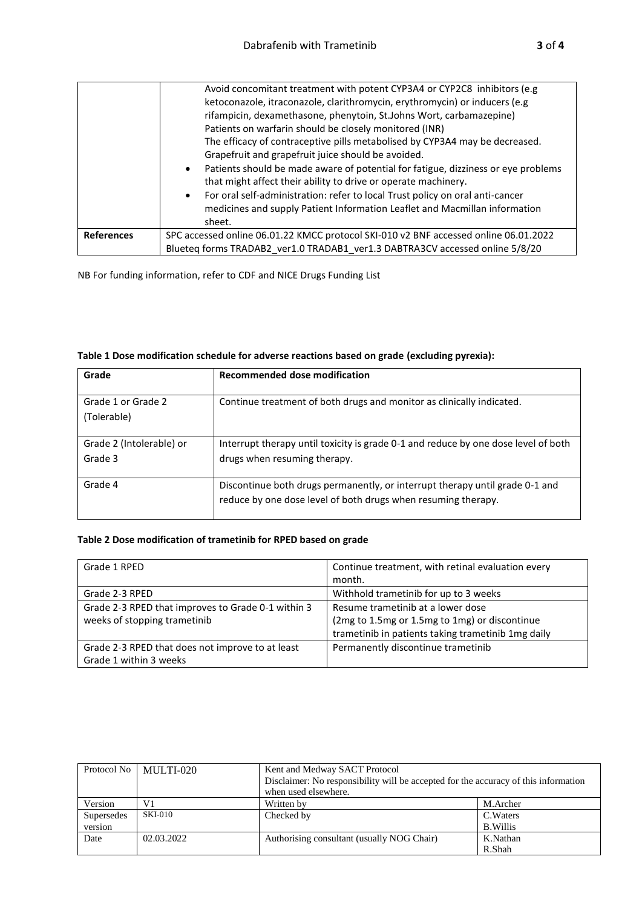|                   | Avoid concomitant treatment with potent CYP3A4 or CYP2C8 inhibitors (e.g<br>ketoconazole, itraconazole, clarithromycin, erythromycin) or inducers (e.g |
|-------------------|--------------------------------------------------------------------------------------------------------------------------------------------------------|
|                   |                                                                                                                                                        |
|                   | rifampicin, dexamethasone, phenytoin, St.Johns Wort, carbamazepine)                                                                                    |
|                   | Patients on warfarin should be closely monitored (INR)                                                                                                 |
|                   | The efficacy of contraceptive pills metabolised by CYP3A4 may be decreased.                                                                            |
|                   | Grapefruit and grapefruit juice should be avoided.                                                                                                     |
|                   | Patients should be made aware of potential for fatigue, dizziness or eye problems<br>$\bullet$                                                         |
|                   | that might affect their ability to drive or operate machinery.                                                                                         |
|                   | For oral self-administration: refer to local Trust policy on oral anti-cancer<br>$\bullet$                                                             |
|                   | medicines and supply Patient Information Leaflet and Macmillan information                                                                             |
|                   | sheet.                                                                                                                                                 |
| <b>References</b> | SPC accessed online 06.01.22 KMCC protocol SKI-010 v2 BNF accessed online 06.01.2022                                                                   |
|                   | Blueteq forms TRADAB2 ver1.0 TRADAB1 ver1.3 DABTRA3CV accessed online 5/8/20                                                                           |

NB For funding information, refer to CDF and NICE Drugs Funding List

| Grade                               | Recommended dose modification                                                                                                                 |
|-------------------------------------|-----------------------------------------------------------------------------------------------------------------------------------------------|
| Grade 1 or Grade 2<br>(Tolerable)   | Continue treatment of both drugs and monitor as clinically indicated.                                                                         |
| Grade 2 (Intolerable) or<br>Grade 3 | Interrupt therapy until toxicity is grade 0-1 and reduce by one dose level of both<br>drugs when resuming therapy.                            |
| Grade 4                             | Discontinue both drugs permanently, or interrupt therapy until grade 0-1 and<br>reduce by one dose level of both drugs when resuming therapy. |

| Table 1 Dose modification schedule for adverse reactions based on grade (excluding pyrexia): |  |
|----------------------------------------------------------------------------------------------|--|
|----------------------------------------------------------------------------------------------|--|

## **Table 2 Dose modification of trametinib for RPED based on grade**

| Grade 1 RPED                                                                       | Continue treatment, with retinal evaluation every<br>month.                                                                              |
|------------------------------------------------------------------------------------|------------------------------------------------------------------------------------------------------------------------------------------|
| Grade 2-3 RPED                                                                     | Withhold trametinib for up to 3 weeks                                                                                                    |
| Grade 2-3 RPED that improves to Grade 0-1 within 3<br>weeks of stopping trametinib | Resume trametinib at a lower dose<br>(2mg to 1.5mg or 1.5mg to 1mg) or discontinue<br>trametinib in patients taking trametinib 1mg daily |
| Grade 2-3 RPED that does not improve to at least<br>Grade 1 within 3 weeks         | Permanently discontinue trametinib                                                                                                       |

| Protocol No | MULTI-020      | Kent and Medway SACT Protocol                                                       |           |  |
|-------------|----------------|-------------------------------------------------------------------------------------|-----------|--|
|             |                | Disclaimer: No responsibility will be accepted for the accuracy of this information |           |  |
|             |                | when used elsewhere.                                                                |           |  |
| Version     | V1             | Written by                                                                          | M.Archer  |  |
| Supersedes  | <b>SKI-010</b> | Checked by                                                                          | C. Waters |  |
| version     |                |                                                                                     | B. Willis |  |
| Date        | 02.03.2022     | Authorising consultant (usually NOG Chair)                                          | K.Nathan  |  |
|             |                |                                                                                     | R.Shah    |  |